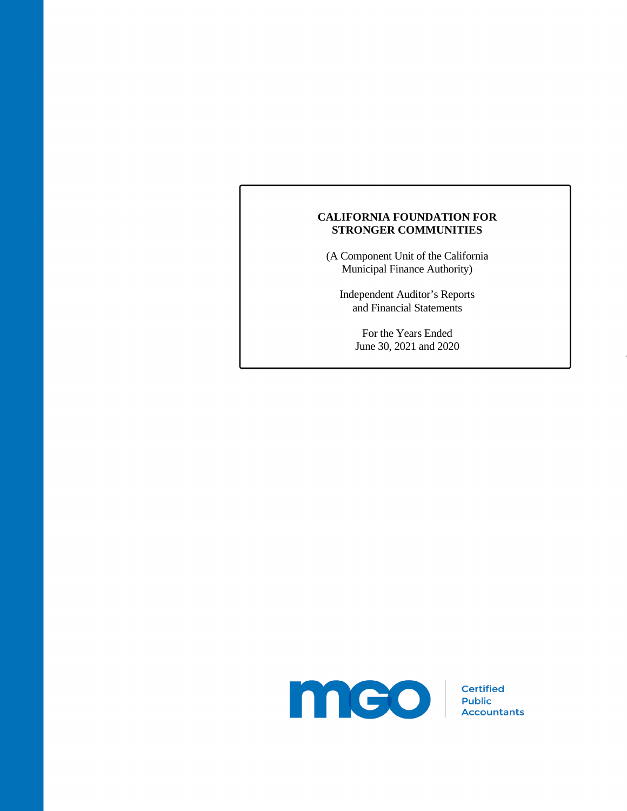(A Component Unit of the California Municipal Finance Authority)

Independent Auditor's Reports and Financial Statements

> For the Years Ended June 30, 2021 and 2020

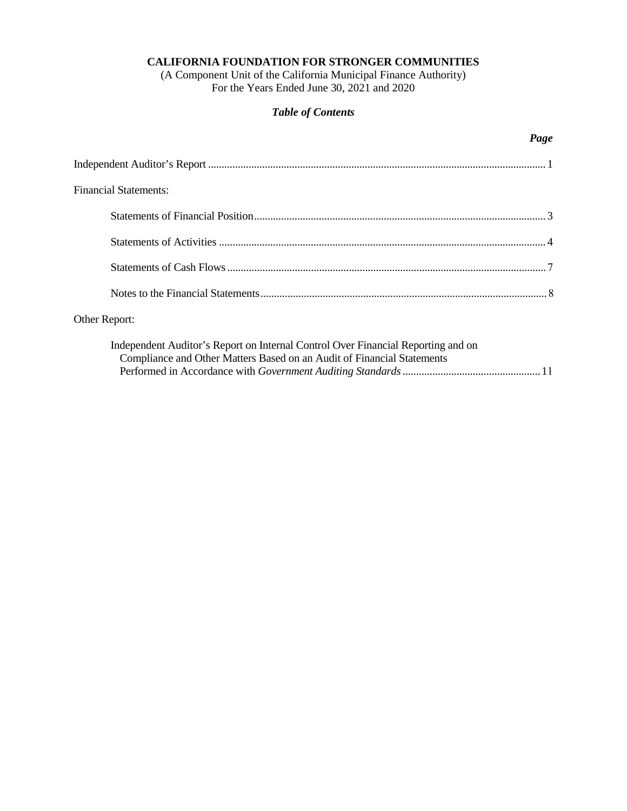(A Component Unit of the California Municipal Finance Authority) For the Years Ended June 30, 2021 and 2020

# *Table of Contents*

## *Page*

| <b>Financial Statements:</b> |  |
|------------------------------|--|
|                              |  |
|                              |  |
|                              |  |
|                              |  |
|                              |  |

# Other Report:

| Independent Auditor's Report on Internal Control Over Financial Reporting and on |  |
|----------------------------------------------------------------------------------|--|
| Compliance and Other Matters Based on an Audit of Financial Statements           |  |
|                                                                                  |  |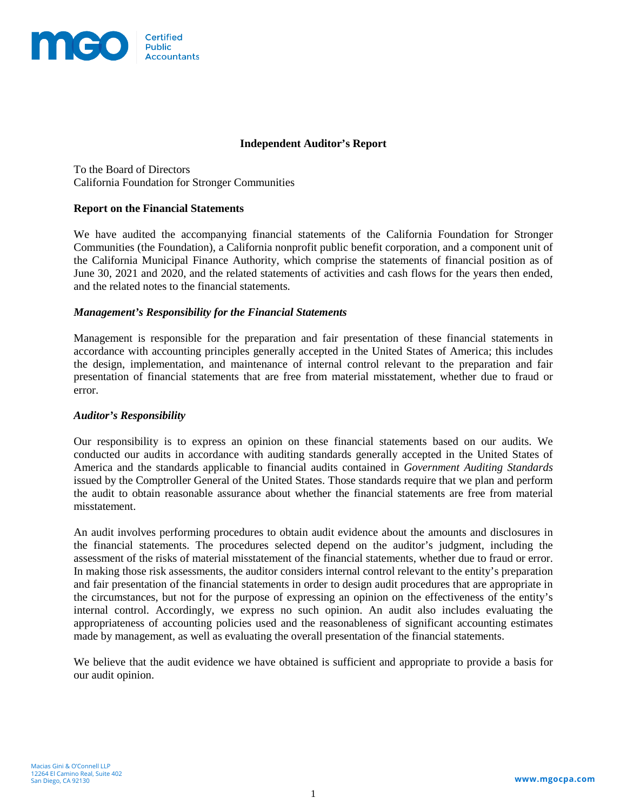

## **Independent Auditor's Report**

To the Board of Directors California Foundation for Stronger Communities

### **Report on the Financial Statements**

We have audited the accompanying financial statements of the California Foundation for Stronger Communities (the Foundation), a California nonprofit public benefit corporation, and a component unit of the California Municipal Finance Authority, which comprise the statements of financial position as of June 30, 2021 and 2020, and the related statements of activities and cash flows for the years then ended, and the related notes to the financial statements.

### *Management's Responsibility for the Financial Statements*

Management is responsible for the preparation and fair presentation of these financial statements in accordance with accounting principles generally accepted in the United States of America; this includes the design, implementation, and maintenance of internal control relevant to the preparation and fair presentation of financial statements that are free from material misstatement, whether due to fraud or error.

#### *Auditor's Responsibility*

Our responsibility is to express an opinion on these financial statements based on our audits. We conducted our audits in accordance with auditing standards generally accepted in the United States of America and the standards applicable to financial audits contained in *Government Auditing Standards* issued by the Comptroller General of the United States. Those standards require that we plan and perform the audit to obtain reasonable assurance about whether the financial statements are free from material misstatement.

An audit involves performing procedures to obtain audit evidence about the amounts and disclosures in the financial statements. The procedures selected depend on the auditor's judgment, including the assessment of the risks of material misstatement of the financial statements, whether due to fraud or error. In making those risk assessments, the auditor considers internal control relevant to the entity's preparation and fair presentation of the financial statements in order to design audit procedures that are appropriate in the circumstances, but not for the purpose of expressing an opinion on the effectiveness of the entity's internal control. Accordingly, we express no such opinion. An audit also includes evaluating the appropriateness of accounting policies used and the reasonableness of significant accounting estimates made by management, as well as evaluating the overall presentation of the financial statements.

We believe that the audit evidence we have obtained is sufficient and appropriate to provide a basis for our audit opinion.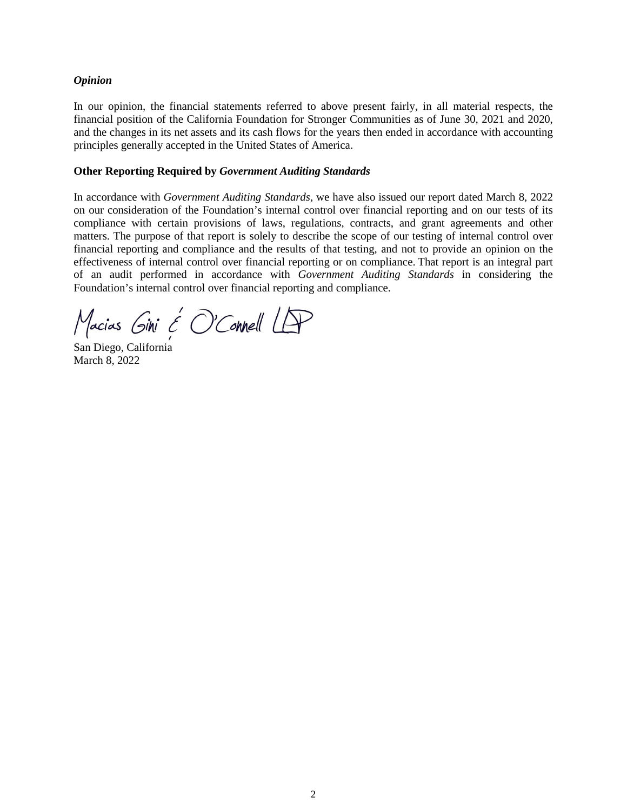### *Opinion*

In our opinion, the financial statements referred to above present fairly, in all material respects, the financial position of the California Foundation for Stronger Communities as of June 30, 2021 and 2020, and the changes in its net assets and its cash flows for the years then ended in accordance with accounting principles generally accepted in the United States of America.

### **Other Reporting Required by** *Government Auditing Standards*

In accordance with *Government Auditing Standards*, we have also issued our report dated March 8, 2022 on our consideration of the Foundation's internal control over financial reporting and on our tests of its compliance with certain provisions of laws, regulations, contracts, and grant agreements and other matters. The purpose of that report is solely to describe the scope of our testing of internal control over financial reporting and compliance and the results of that testing, and not to provide an opinion on the effectiveness of internal control over financial reporting or on compliance. That report is an integral part of an audit performed in accordance with *Government Auditing Standards* in considering the Foundation's internal control over financial reporting and compliance.

Macias Gini & O'Connell LAP

San Diego, California March 8, 2022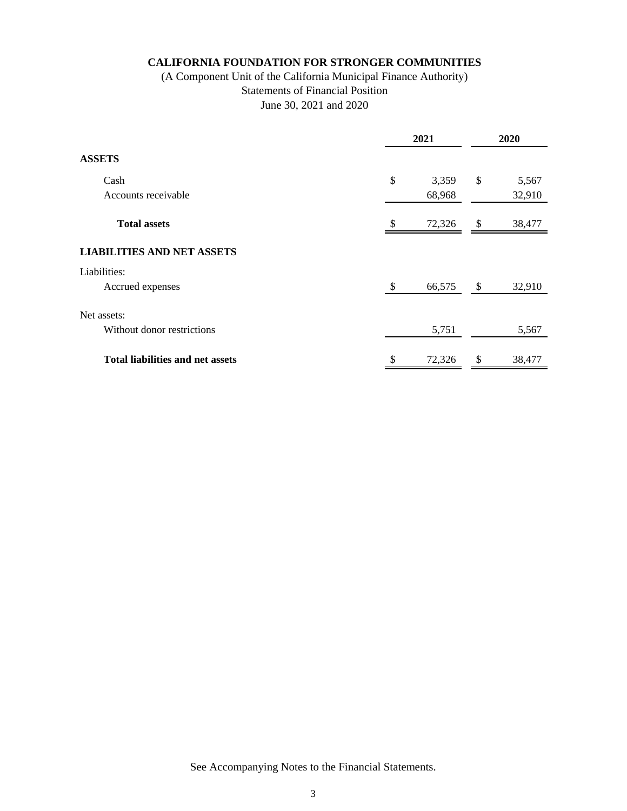# (A Component Unit of the California Municipal Finance Authority) Statements of Financial Position June 30, 2021 and 2020

|                                         | 2021         | 2020 |        |  |
|-----------------------------------------|--------------|------|--------|--|
| <b>ASSETS</b>                           |              |      |        |  |
| Cash                                    | \$<br>3,359  | \$   | 5,567  |  |
| Accounts receivable                     | 68,968       |      | 32,910 |  |
| <b>Total assets</b>                     | \$<br>72,326 | \$   | 38,477 |  |
| <b>LIABILITIES AND NET ASSETS</b>       |              |      |        |  |
| Liabilities:                            |              |      |        |  |
| Accrued expenses                        | \$<br>66,575 | \$   | 32,910 |  |
| Net assets:                             |              |      |        |  |
| Without donor restrictions              | 5,751        |      | 5,567  |  |
| <b>Total liabilities and net assets</b> | \$<br>72,326 | \$   | 38,477 |  |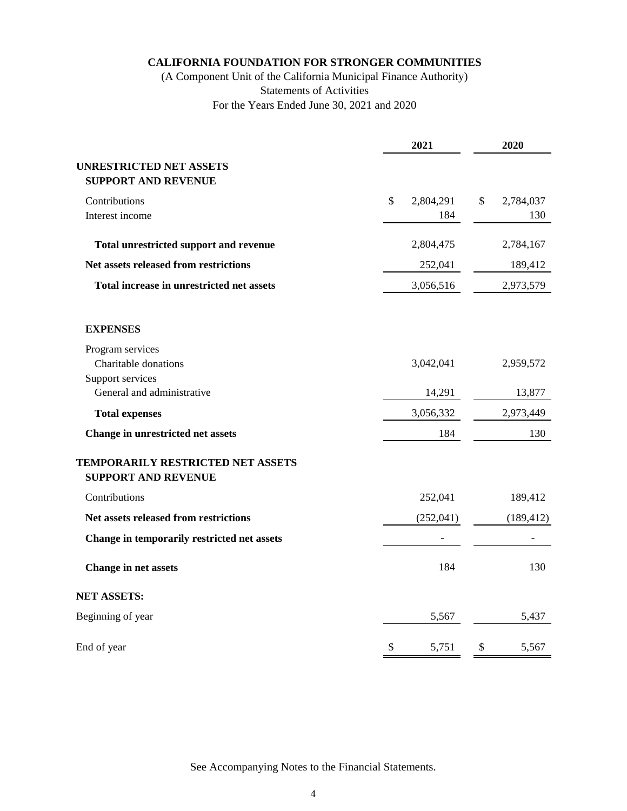# (A Component Unit of the California Municipal Finance Authority) Statements of Activities For the Years Ended June 30, 2021 and 2020

|                                                                 | 2021                   | 2020                   |  |  |  |
|-----------------------------------------------------------------|------------------------|------------------------|--|--|--|
| <b>UNRESTRICTED NET ASSETS</b><br><b>SUPPORT AND REVENUE</b>    |                        |                        |  |  |  |
| Contributions<br>Interest income                                | \$<br>2,804,291<br>184 | \$<br>2,784,037<br>130 |  |  |  |
| <b>Total unrestricted support and revenue</b>                   | 2,804,475              | 2,784,167              |  |  |  |
| Net assets released from restrictions                           | 252,041                | 189,412                |  |  |  |
| Total increase in unrestricted net assets                       | 3,056,516              | 2,973,579              |  |  |  |
| <b>EXPENSES</b>                                                 |                        |                        |  |  |  |
| Program services<br>Charitable donations                        | 3,042,041              | 2,959,572              |  |  |  |
| Support services<br>General and administrative                  | 14,291                 | 13,877                 |  |  |  |
| <b>Total expenses</b>                                           | 3,056,332              | 2,973,449              |  |  |  |
| Change in unrestricted net assets                               | 184                    | 130                    |  |  |  |
| TEMPORARILY RESTRICTED NET ASSETS<br><b>SUPPORT AND REVENUE</b> |                        |                        |  |  |  |
| Contributions                                                   | 252,041                | 189,412                |  |  |  |
| Net assets released from restrictions                           | (252,041)              | (189, 412)             |  |  |  |
| Change in temporarily restricted net assets                     |                        |                        |  |  |  |
| <b>Change in net assets</b>                                     | 184                    | 130                    |  |  |  |
| <b>NET ASSETS:</b>                                              |                        |                        |  |  |  |
| Beginning of year                                               | 5,567                  | 5,437                  |  |  |  |
| End of year                                                     | \$<br>5,751            | \$<br>5,567            |  |  |  |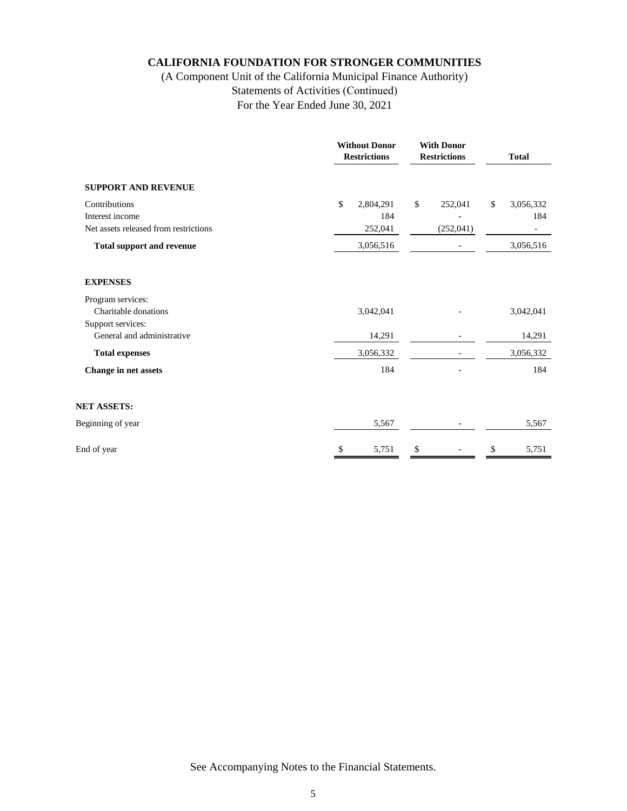# (A Component Unit of the California Municipal Finance Authority) Statements of Activities (Continued) For the Year Ended June 30, 2021

|                                                                           | <b>Without Donor</b><br><b>With Donor</b><br><b>Restrictions</b><br><b>Restrictions</b> |                             |    |                       | <b>Total</b> |                  |
|---------------------------------------------------------------------------|-----------------------------------------------------------------------------------------|-----------------------------|----|-----------------------|--------------|------------------|
| <b>SUPPORT AND REVENUE</b>                                                |                                                                                         |                             |    |                       |              |                  |
| Contributions<br>Interest income<br>Net assets released from restrictions | \$                                                                                      | 2,804,291<br>184<br>252,041 | \$ | 252,041<br>(252, 041) | \$           | 3,056,332<br>184 |
| <b>Total support and revenue</b>                                          |                                                                                         | 3,056,516                   |    |                       |              | 3,056,516        |
| <b>EXPENSES</b>                                                           |                                                                                         |                             |    |                       |              |                  |
| Program services:<br>Charitable donations<br>Support services:            |                                                                                         | 3,042,041                   |    |                       |              | 3,042,041        |
| General and administrative                                                |                                                                                         | 14,291                      |    |                       |              | 14,291           |
| <b>Total expenses</b>                                                     |                                                                                         | 3,056,332                   |    |                       |              | 3,056,332        |
| Change in net assets                                                      |                                                                                         | 184                         |    |                       |              | 184              |
| <b>NET ASSETS:</b>                                                        |                                                                                         |                             |    |                       |              |                  |
| Beginning of year                                                         |                                                                                         | 5,567                       |    | $\qquad \qquad -$     |              | 5,567            |
| End of year                                                               | S.                                                                                      | 5,751                       | S  |                       | \$           | 5,751            |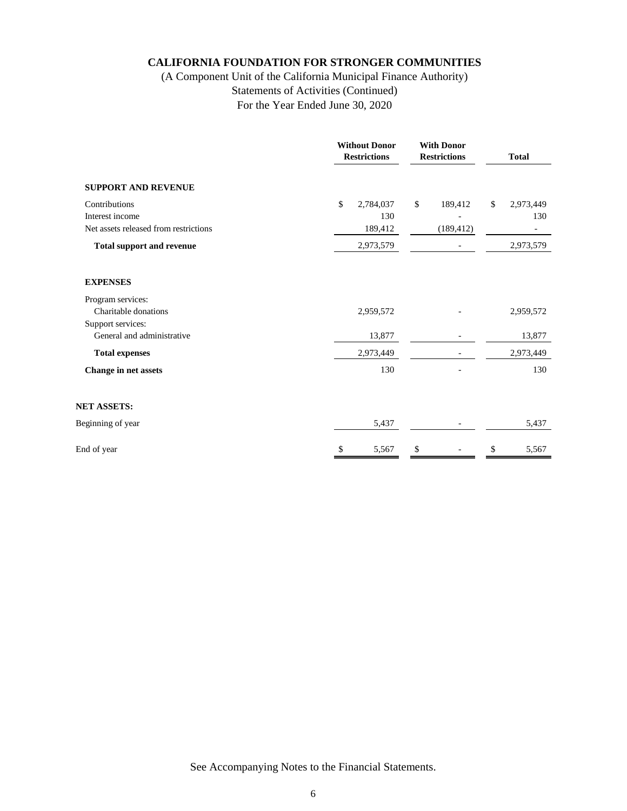# (A Component Unit of the California Municipal Finance Authority) Statements of Activities (Continued) For the Year Ended June 30, 2020

|                                                                           |    | <b>Without Donor</b><br><b>Restrictions</b> | <b>With Donor</b><br><b>Restrictions</b> |                       | <b>Total</b> |                                                  |
|---------------------------------------------------------------------------|----|---------------------------------------------|------------------------------------------|-----------------------|--------------|--------------------------------------------------|
| <b>SUPPORT AND REVENUE</b>                                                |    |                                             |                                          |                       |              |                                                  |
| Contributions<br>Interest income<br>Net assets released from restrictions | \$ | 2,784,037<br>130<br>189,412                 | \$                                       | 189,412<br>(189, 412) | \$           | 2,973,449<br>130<br>$\qquad \qquad \blacksquare$ |
| <b>Total support and revenue</b>                                          |    | 2,973,579                                   |                                          |                       |              | 2,973,579                                        |
| <b>EXPENSES</b>                                                           |    |                                             |                                          |                       |              |                                                  |
| Program services:<br>Charitable donations<br>Support services:            |    | 2,959,572                                   |                                          |                       |              | 2,959,572                                        |
| General and administrative                                                |    | 13,877                                      |                                          |                       |              | 13,877                                           |
| <b>Total expenses</b>                                                     |    | 2,973,449                                   |                                          |                       |              | 2,973,449                                        |
| Change in net assets                                                      |    | 130                                         |                                          |                       |              | 130                                              |
| <b>NET ASSETS:</b>                                                        |    |                                             |                                          |                       |              |                                                  |
| Beginning of year                                                         |    | 5,437                                       |                                          |                       |              | 5,437                                            |
| End of year                                                               | S  | 5,567                                       | \$                                       |                       | \$           | 5,567                                            |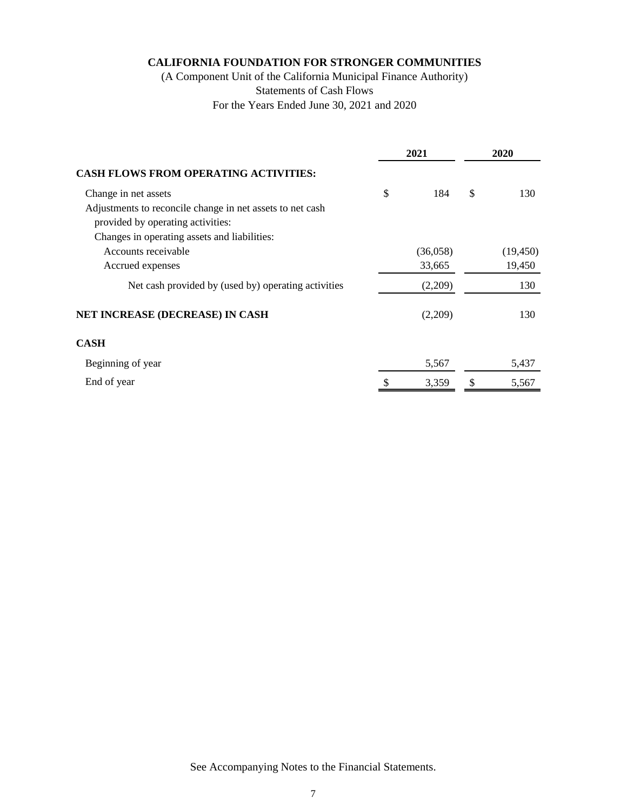(A Component Unit of the California Municipal Finance Authority) Statements of Cash Flows For the Years Ended June 30, 2021 and 2020

|                                                           | 2021      | 2020 |           |  |
|-----------------------------------------------------------|-----------|------|-----------|--|
| <b>CASH FLOWS FROM OPERATING ACTIVITIES:</b>              |           |      |           |  |
| Change in net assets                                      | \$<br>184 | \$   | 130       |  |
| Adjustments to reconcile change in net assets to net cash |           |      |           |  |
| provided by operating activities:                         |           |      |           |  |
| Changes in operating assets and liabilities:              |           |      |           |  |
| Accounts receivable                                       | (36,058)  |      | (19, 450) |  |
| Accrued expenses                                          | 33,665    |      | 19,450    |  |
| Net cash provided by (used by) operating activities       | (2,209)   |      | 130       |  |
| NET INCREASE (DECREASE) IN CASH                           | (2,209)   |      | 130       |  |
| <b>CASH</b>                                               |           |      |           |  |
| Beginning of year                                         | 5,567     |      | 5,437     |  |
| End of year                                               | 3,359     |      | 5,567     |  |
|                                                           |           |      |           |  |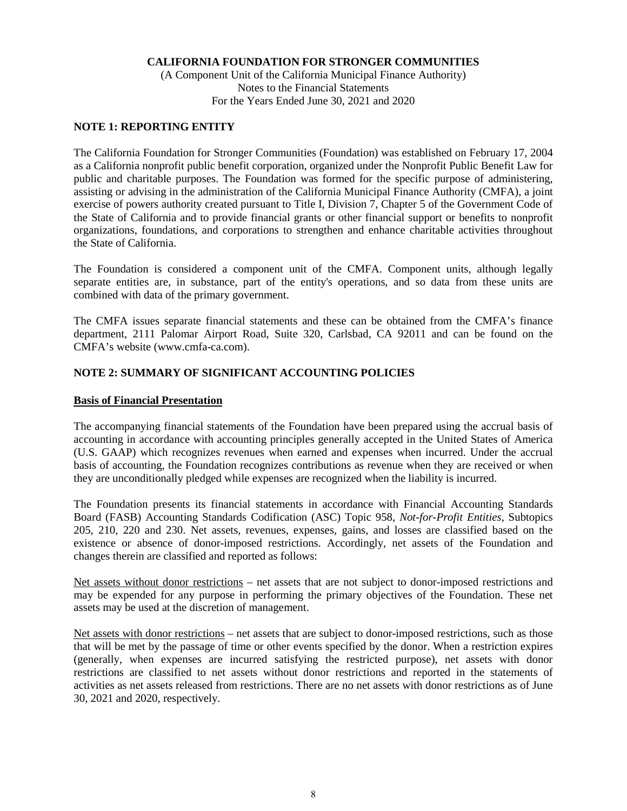(A Component Unit of the California Municipal Finance Authority) Notes to the Financial Statements For the Years Ended June 30, 2021 and 2020

## **NOTE 1: REPORTING ENTITY**

The California Foundation for Stronger Communities (Foundation) was established on February 17, 2004 as a California nonprofit public benefit corporation, organized under the Nonprofit Public Benefit Law for public and charitable purposes. The Foundation was formed for the specific purpose of administering, assisting or advising in the administration of the California Municipal Finance Authority (CMFA), a joint exercise of powers authority created pursuant to Title I, Division 7, Chapter 5 of the Government Code of the State of California and to provide financial grants or other financial support or benefits to nonprofit organizations, foundations, and corporations to strengthen and enhance charitable activities throughout the State of California.

The Foundation is considered a component unit of the CMFA. Component units, although legally separate entities are, in substance, part of the entity's operations, and so data from these units are combined with data of the primary government.

The CMFA issues separate financial statements and these can be obtained from the CMFA's finance department, 2111 Palomar Airport Road, Suite 320, Carlsbad, CA 92011 and can be found on the CMFA's website (www.cmfa-ca.com).

## **NOTE 2: SUMMARY OF SIGNIFICANT ACCOUNTING POLICIES**

### **Basis of Financial Presentation**

The accompanying financial statements of the Foundation have been prepared using the accrual basis of accounting in accordance with accounting principles generally accepted in the United States of America (U.S. GAAP) which recognizes revenues when earned and expenses when incurred. Under the accrual basis of accounting, the Foundation recognizes contributions as revenue when they are received or when they are unconditionally pledged while expenses are recognized when the liability is incurred.

The Foundation presents its financial statements in accordance with Financial Accounting Standards Board (FASB) Accounting Standards Codification (ASC) Topic 958, *Not-for-Profit Entities,* Subtopics 205, 210, 220 and 230. Net assets, revenues, expenses, gains, and losses are classified based on the existence or absence of donor-imposed restrictions. Accordingly, net assets of the Foundation and changes therein are classified and reported as follows:

Net assets without donor restrictions – net assets that are not subject to donor-imposed restrictions and may be expended for any purpose in performing the primary objectives of the Foundation. These net assets may be used at the discretion of management.

Net assets with donor restrictions – net assets that are subject to donor-imposed restrictions, such as those that will be met by the passage of time or other events specified by the donor. When a restriction expires (generally, when expenses are incurred satisfying the restricted purpose), net assets with donor restrictions are classified to net assets without donor restrictions and reported in the statements of activities as net assets released from restrictions. There are no net assets with donor restrictions as of June 30, 2021 and 2020, respectively.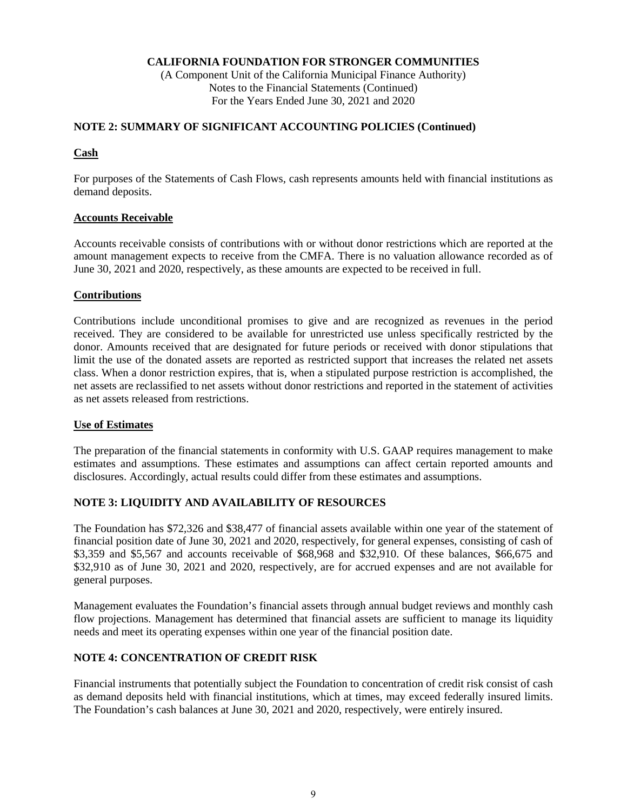(A Component Unit of the California Municipal Finance Authority) Notes to the Financial Statements (Continued) For the Years Ended June 30, 2021 and 2020

## **NOTE 2: SUMMARY OF SIGNIFICANT ACCOUNTING POLICIES (Continued)**

## **Cash**

For purposes of the Statements of Cash Flows, cash represents amounts held with financial institutions as demand deposits.

## **Accounts Receivable**

Accounts receivable consists of contributions with or without donor restrictions which are reported at the amount management expects to receive from the CMFA. There is no valuation allowance recorded as of June 30, 2021 and 2020, respectively, as these amounts are expected to be received in full.

## **Contributions**

Contributions include unconditional promises to give and are recognized as revenues in the period received. They are considered to be available for unrestricted use unless specifically restricted by the donor. Amounts received that are designated for future periods or received with donor stipulations that limit the use of the donated assets are reported as restricted support that increases the related net assets class. When a donor restriction expires, that is, when a stipulated purpose restriction is accomplished, the net assets are reclassified to net assets without donor restrictions and reported in the statement of activities as net assets released from restrictions.

## **Use of Estimates**

The preparation of the financial statements in conformity with U.S. GAAP requires management to make estimates and assumptions. These estimates and assumptions can affect certain reported amounts and disclosures. Accordingly, actual results could differ from these estimates and assumptions.

## **NOTE 3: LIQUIDITY AND AVAILABILITY OF RESOURCES**

The Foundation has \$72,326 and \$38,477 of financial assets available within one year of the statement of financial position date of June 30, 2021 and 2020, respectively, for general expenses, consisting of cash of \$3,359 and \$5,567 and accounts receivable of \$68,968 and \$32,910. Of these balances, \$66,675 and \$32,910 as of June 30, 2021 and 2020, respectively, are for accrued expenses and are not available for general purposes.

Management evaluates the Foundation's financial assets through annual budget reviews and monthly cash flow projections. Management has determined that financial assets are sufficient to manage its liquidity needs and meet its operating expenses within one year of the financial position date.

## **NOTE 4: CONCENTRATION OF CREDIT RISK**

Financial instruments that potentially subject the Foundation to concentration of credit risk consist of cash as demand deposits held with financial institutions, which at times, may exceed federally insured limits. The Foundation's cash balances at June 30, 2021 and 2020, respectively, were entirely insured.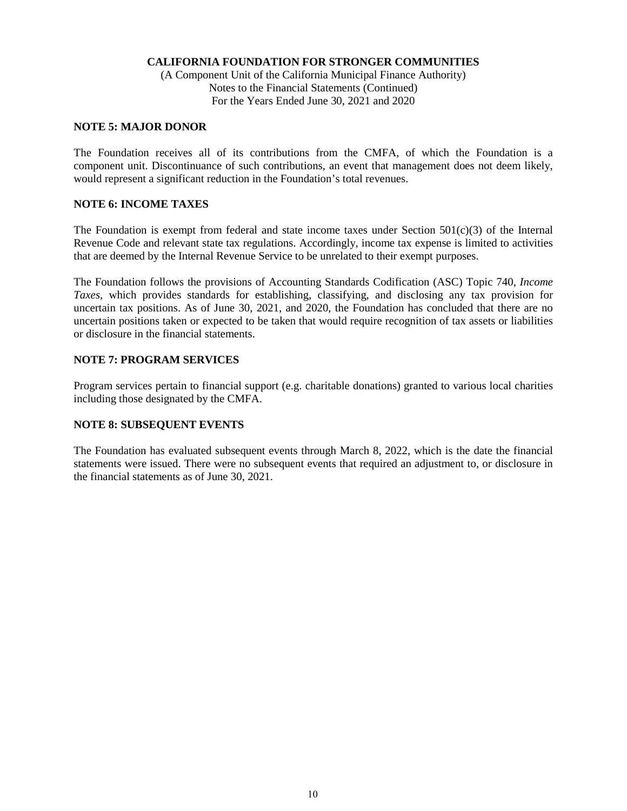(A Component Unit of the California Municipal Finance Authority) Notes to the Financial Statements (Continued) For the Years Ended June 30, 2021 and 2020

### **NOTE 5: MAJOR DONOR**

The Foundation receives all of its contributions from the CMFA, of which the Foundation is a component unit. Discontinuance of such contributions, an event that management does not deem likely, would represent a significant reduction in the Foundation's total revenues.

### **NOTE 6: INCOME TAXES**

The Foundation is exempt from federal and state income taxes under Section  $501(c)(3)$  of the Internal Revenue Code and relevant state tax regulations. Accordingly, income tax expense is limited to activities that are deemed by the Internal Revenue Service to be unrelated to their exempt purposes.

The Foundation follows the provisions of Accounting Standards Codification (ASC) Topic 740, *Income Taxes*, which provides standards for establishing, classifying, and disclosing any tax provision for uncertain tax positions. As of June 30, 2021, and 2020, the Foundation has concluded that there are no uncertain positions taken or expected to be taken that would require recognition of tax assets or liabilities or disclosure in the financial statements.

### **NOTE 7: PROGRAM SERVICES**

Program services pertain to financial support (e.g. charitable donations) granted to various local charities including those designated by the CMFA.

## **NOTE 8: SUBSEQUENT EVENTS**

The Foundation has evaluated subsequent events through March 8, 2022, which is the date the financial statements were issued. There were no subsequent events that required an adjustment to, or disclosure in the financial statements as of June 30, 2021.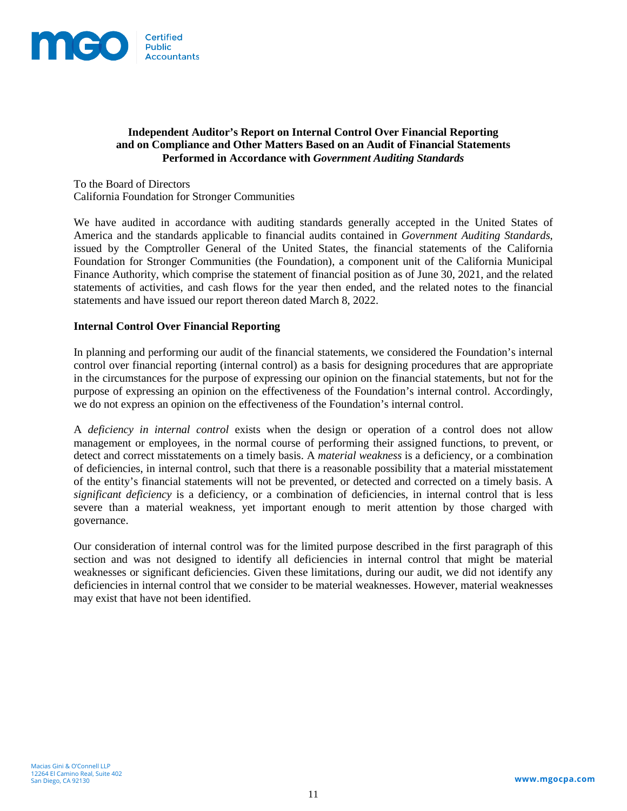

## **Independent Auditor's Report on Internal Control Over Financial Reporting and on Compliance and Other Matters Based on an Audit of Financial Statements Performed in Accordance with** *Government Auditing Standards*

To the Board of Directors California Foundation for Stronger Communities

We have audited in accordance with auditing standards generally accepted in the United States of America and the standards applicable to financial audits contained in *Government Auditing Standards*, issued by the Comptroller General of the United States, the financial statements of the California Foundation for Stronger Communities (the Foundation), a component unit of the California Municipal Finance Authority, which comprise the statement of financial position as of June 30, 2021, and the related statements of activities, and cash flows for the year then ended, and the related notes to the financial statements and have issued our report thereon dated March 8, 2022.

## **Internal Control Over Financial Reporting**

In planning and performing our audit of the financial statements, we considered the Foundation's internal control over financial reporting (internal control) as a basis for designing procedures that are appropriate in the circumstances for the purpose of expressing our opinion on the financial statements, but not for the purpose of expressing an opinion on the effectiveness of the Foundation's internal control. Accordingly, we do not express an opinion on the effectiveness of the Foundation's internal control.

A *deficiency in internal control* exists when the design or operation of a control does not allow management or employees, in the normal course of performing their assigned functions, to prevent, or detect and correct misstatements on a timely basis. A *material weakness* is a deficiency, or a combination of deficiencies, in internal control, such that there is a reasonable possibility that a material misstatement of the entity's financial statements will not be prevented, or detected and corrected on a timely basis. A *significant deficiency* is a deficiency, or a combination of deficiencies, in internal control that is less severe than a material weakness, yet important enough to merit attention by those charged with governance.

Our consideration of internal control was for the limited purpose described in the first paragraph of this section and was not designed to identify all deficiencies in internal control that might be material weaknesses or significant deficiencies. Given these limitations, during our audit, we did not identify any deficiencies in internal control that we consider to be material weaknesses. However, material weaknesses may exist that have not been identified.